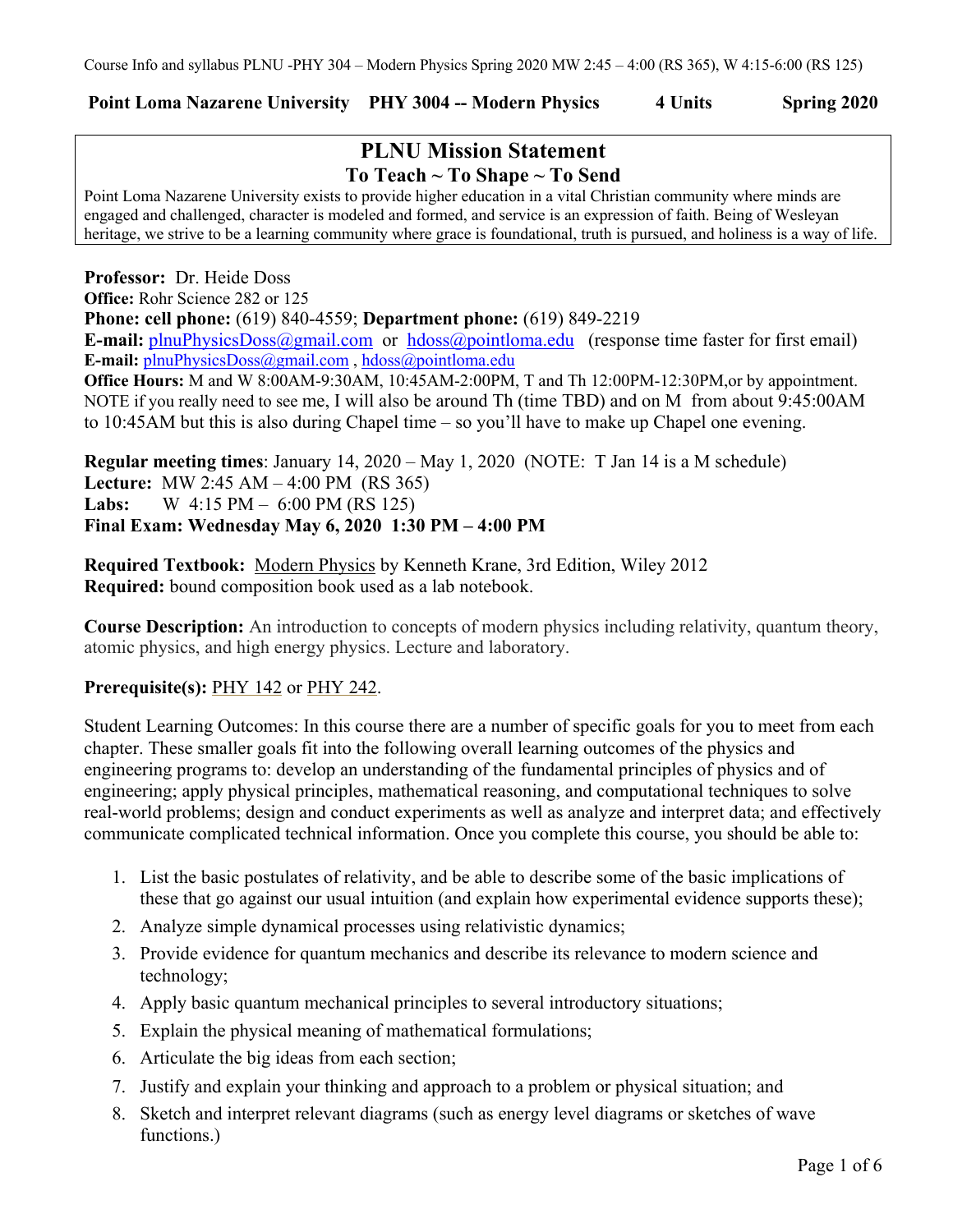## **Point Loma Nazarene University PHY 3004 -- Modern Physics 4 Units Spring 2020**

# **PLNU Mission Statement To Teach ~ To Shape ~ To Send**

Point Loma Nazarene University exists to provide higher education in a vital Christian community where minds are engaged and challenged, character is modeled and formed, and service is an expression of faith. Being of Wesleyan heritage, we strive to be a learning community where grace is foundational, truth is pursued, and holiness is a way of life.

**Professor:** Dr. Heide Doss **Office:** Rohr Science 282 or 125 **Phone: cell phone:** (619) 840-4559; **Department phone:** (619) 849-2219 **E-mail:** plnuPhysicsDoss@gmail.com or hdoss@pointloma.edu (response time faster for first email) **E-mail:** plnuPhysicsDoss@gmail.com , hdoss@pointloma.edu **Office Hours:** M and W 8:00AM-9:30AM, 10:45AM-2:00PM, T and Th 12:00PM-12:30PM,or by appointment. NOTE if you really need to see me, I will also be around Th (time TBD) and on M from about 9:45:00AM to 10:45AM but this is also during Chapel time – so you'll have to make up Chapel one evening.

**Regular meeting times**: January 14, 2020 – May 1, 2020 (NOTE: T Jan 14 is a M schedule) **Lecture:** MW 2:45 AM – 4:00 PM (RS 365) **Labs:** W 4:15 PM – 6:00 PM (RS 125) **Final Exam: Wednesday May 6, 2020 1:30 PM – 4:00 PM**

**Required Textbook:** Modern Physics by Kenneth Krane, 3rd Edition, Wiley 2012 **Required:** bound composition book used as a lab notebook.

**Course Description:** An introduction to concepts of modern physics including relativity, quantum theory, atomic physics, and high energy physics. Lecture and laboratory.

#### **Prerequisite(s):** PHY 142 or PHY 242.

Student Learning Outcomes: In this course there are a number of specific goals for you to meet from each chapter. These smaller goals fit into the following overall learning outcomes of the physics and engineering programs to: develop an understanding of the fundamental principles of physics and of engineering; apply physical principles, mathematical reasoning, and computational techniques to solve real-world problems; design and conduct experiments as well as analyze and interpret data; and effectively communicate complicated technical information. Once you complete this course, you should be able to:

- 1. List the basic postulates of relativity, and be able to describe some of the basic implications of these that go against our usual intuition (and explain how experimental evidence supports these);
- 2. Analyze simple dynamical processes using relativistic dynamics;
- 3. Provide evidence for quantum mechanics and describe its relevance to modern science and technology;
- 4. Apply basic quantum mechanical principles to several introductory situations;
- 5. Explain the physical meaning of mathematical formulations;
- 6. Articulate the big ideas from each section;
- 7. Justify and explain your thinking and approach to a problem or physical situation; and
- 8. Sketch and interpret relevant diagrams (such as energy level diagrams or sketches of wave functions.)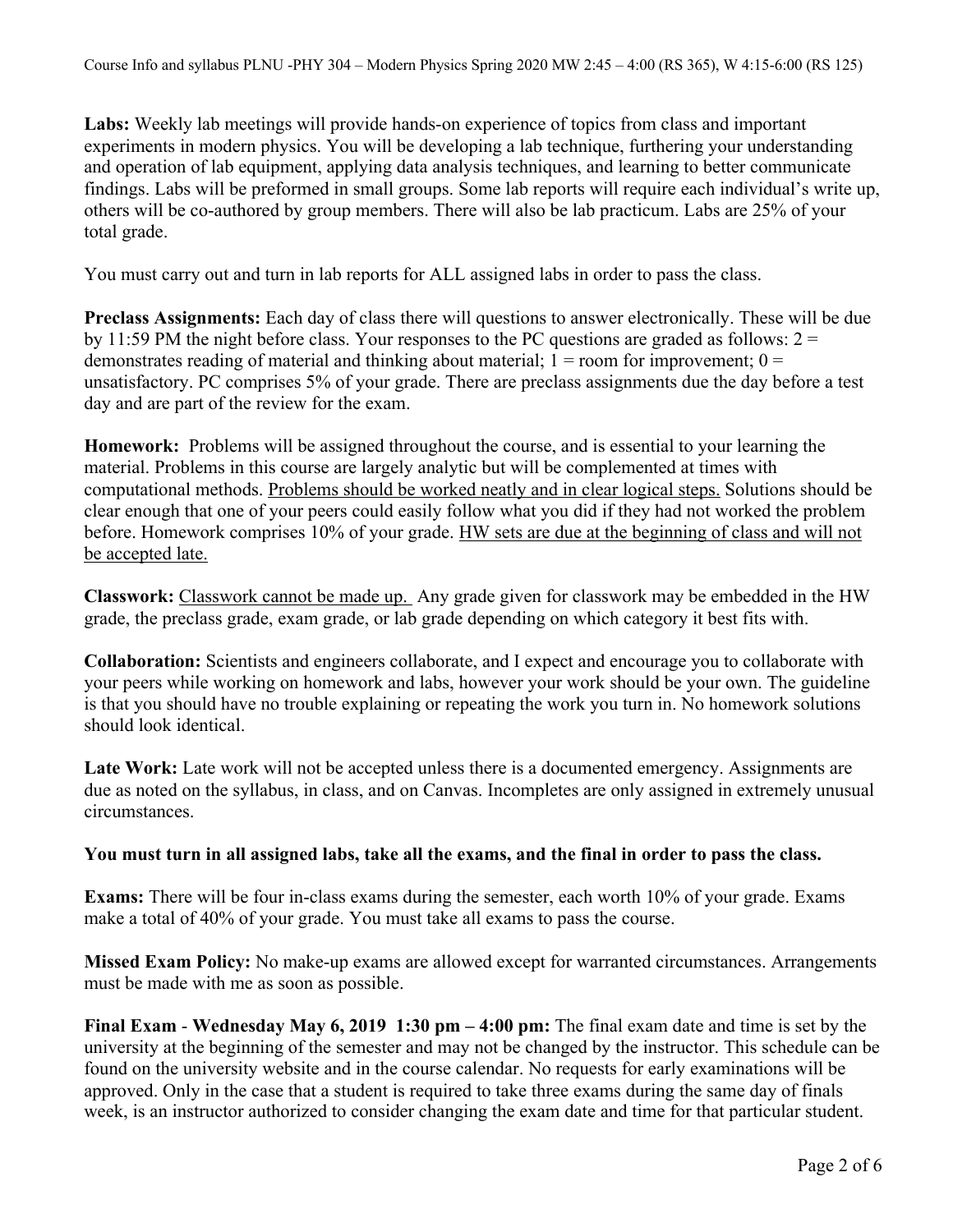**Labs:** Weekly lab meetings will provide hands-on experience of topics from class and important experiments in modern physics. You will be developing a lab technique, furthering your understanding and operation of lab equipment, applying data analysis techniques, and learning to better communicate findings. Labs will be preformed in small groups. Some lab reports will require each individual's write up, others will be co-authored by group members. There will also be lab practicum. Labs are 25% of your total grade.

You must carry out and turn in lab reports for ALL assigned labs in order to pass the class.

**Preclass Assignments:** Each day of class there will questions to answer electronically. These will be due by 11:59 PM the night before class. Your responses to the PC questions are graded as follows:  $2 =$ demonstrates reading of material and thinking about material;  $1 =$  room for improvement;  $0 =$ unsatisfactory. PC comprises 5% of your grade. There are preclass assignments due the day before a test day and are part of the review for the exam.

**Homework:** Problems will be assigned throughout the course, and is essential to your learning the material. Problems in this course are largely analytic but will be complemented at times with computational methods. Problems should be worked neatly and in clear logical steps. Solutions should be clear enough that one of your peers could easily follow what you did if they had not worked the problem before. Homework comprises 10% of your grade. HW sets are due at the beginning of class and will not be accepted late.

**Classwork:** Classwork cannot be made up. Any grade given for classwork may be embedded in the HW grade, the preclass grade, exam grade, or lab grade depending on which category it best fits with.

**Collaboration:** Scientists and engineers collaborate, and I expect and encourage you to collaborate with your peers while working on homework and labs, however your work should be your own. The guideline is that you should have no trouble explaining or repeating the work you turn in. No homework solutions should look identical.

**Late Work:** Late work will not be accepted unless there is a documented emergency. Assignments are due as noted on the syllabus, in class, and on Canvas. Incompletes are only assigned in extremely unusual circumstances.

#### **You must turn in all assigned labs, take all the exams, and the final in order to pass the class.**

**Exams:** There will be four in-class exams during the semester, each worth 10% of your grade. Exams make a total of 40% of your grade. You must take all exams to pass the course.

**Missed Exam Policy:** No make-up exams are allowed except for warranted circumstances. Arrangements must be made with me as soon as possible.

**Final Exam** - **Wednesday May 6, 2019 1:30 pm – 4:00 pm:** The final exam date and time is set by the university at the beginning of the semester and may not be changed by the instructor. This schedule can be found on the university website and in the course calendar. No requests for early examinations will be approved. Only in the case that a student is required to take three exams during the same day of finals week, is an instructor authorized to consider changing the exam date and time for that particular student.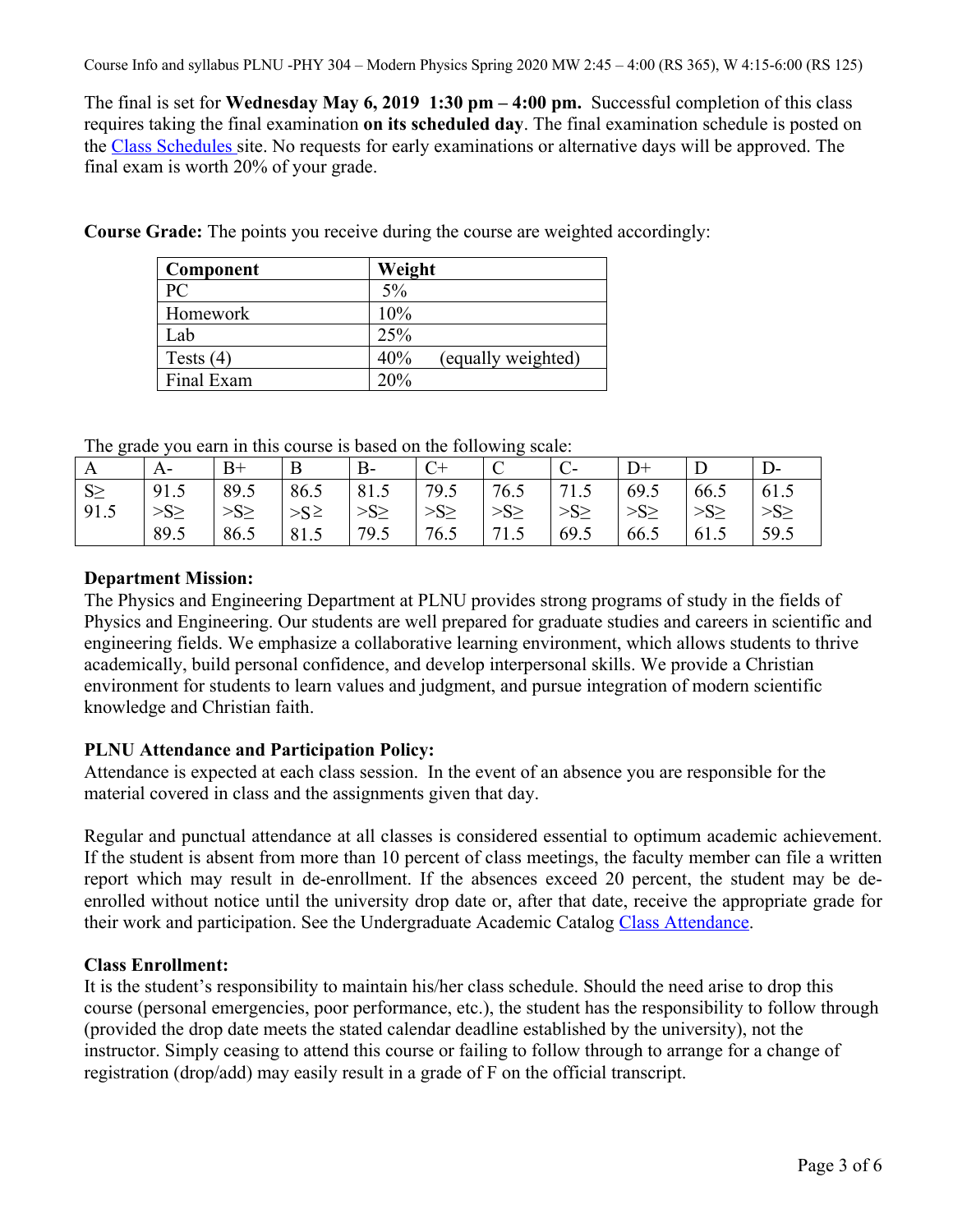The final is set for **Wednesday May 6, 2019 1:30 pm – 4:00 pm.** Successful completion of this class requires taking the final examination **on its scheduled day**. The final examination schedule is posted on the Class Schedules site. No requests for early examinations or alternative days will be approved. The final exam is worth 20% of your grade.

| Component   | Weight                    |
|-------------|---------------------------|
| PC.         | $5\%$                     |
| Homework    | 10%                       |
| Lab         | 25%                       |
| Tests $(4)$ | 40%<br>(equally weighted) |
| Final Exam  | 20%                       |

**Course Grade:** The points you receive during the course are weighted accordingly:

The grade you earn in this course is based on the following scale:

| The grade four cann in this could be calculated the following search |          |           |             |            |          |                           |           |      |          |      |
|----------------------------------------------------------------------|----------|-----------|-------------|------------|----------|---------------------------|-----------|------|----------|------|
| $^{\prime}$ A                                                        | A-       | $B+$      | B           | <b>B</b> - | $C+$     |                           |           |      |          |      |
| $S \geq$                                                             | 91.5     | 89.5      | $86.5$ 81.5 |            |          | 79.5   76.5   71.5   69.5 |           |      | 66.5     | 61.5 |
| 91.5                                                                 | $>S\geq$ | $>S \geq$ | $>S^{\ge}$  | $>S\geq$   | $>S\geq$ | $\geq S \geq$             | $>S \geq$ | >S>  | $>S\geq$ | >S>  |
|                                                                      | 89.5     | 86.5      | 81.5        | 79.5       | 176.5    | 71.5                      | 69.5      | 66.5 | 61.5     | 59.5 |

# **Department Mission:**

The Physics and Engineering Department at PLNU provides strong programs of study in the fields of Physics and Engineering. Our students are well prepared for graduate studies and careers in scientific and engineering fields. We emphasize a collaborative learning environment, which allows students to thrive academically, build personal confidence, and develop interpersonal skills. We provide a Christian environment for students to learn values and judgment, and pursue integration of modern scientific knowledge and Christian faith.

## **PLNU Attendance and Participation Policy:**

Attendance is expected at each class session. In the event of an absence you are responsible for the material covered in class and the assignments given that day.

Regular and punctual attendance at all classes is considered essential to optimum academic achievement. If the student is absent from more than 10 percent of class meetings, the faculty member can file a written report which may result in de-enrollment. If the absences exceed 20 percent, the student may be deenrolled without notice until the university drop date or, after that date, receive the appropriate grade for their work and participation. See the Undergraduate Academic Catalog Class Attendance.

## **Class Enrollment:**

It is the student's responsibility to maintain his/her class schedule. Should the need arise to drop this course (personal emergencies, poor performance, etc.), the student has the responsibility to follow through (provided the drop date meets the stated calendar deadline established by the university), not the instructor. Simply ceasing to attend this course or failing to follow through to arrange for a change of registration (drop/add) may easily result in a grade of F on the official transcript.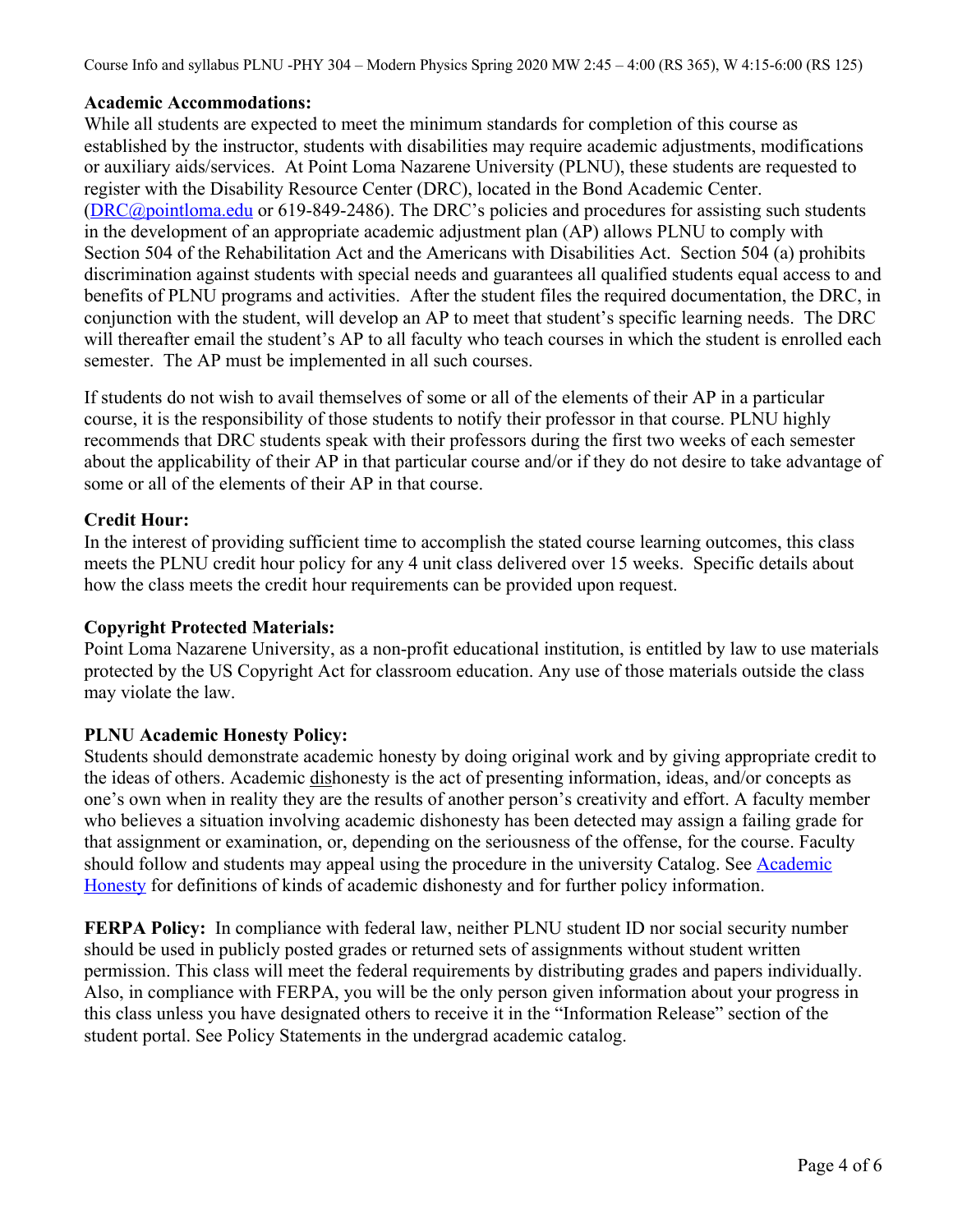Course Info and syllabus PLNU -PHY 304 – Modern Physics Spring 2020 MW 2:45 – 4:00 (RS 365), W 4:15-6:00 (RS 125)

## **Academic Accommodations:**

While all students are expected to meet the minimum standards for completion of this course as established by the instructor, students with disabilities may require academic adjustments, modifications or auxiliary aids/services. At Point Loma Nazarene University (PLNU), these students are requested to register with the Disability Resource Center (DRC), located in the Bond Academic Center. (DRC@pointloma.edu or 619-849-2486). The DRC's policies and procedures for assisting such students in the development of an appropriate academic adjustment plan (AP) allows PLNU to comply with Section 504 of the Rehabilitation Act and the Americans with Disabilities Act. Section 504 (a) prohibits discrimination against students with special needs and guarantees all qualified students equal access to and benefits of PLNU programs and activities. After the student files the required documentation, the DRC, in conjunction with the student, will develop an AP to meet that student's specific learning needs. The DRC will thereafter email the student's AP to all faculty who teach courses in which the student is enrolled each semester. The AP must be implemented in all such courses.

If students do not wish to avail themselves of some or all of the elements of their AP in a particular course, it is the responsibility of those students to notify their professor in that course. PLNU highly recommends that DRC students speak with their professors during the first two weeks of each semester about the applicability of their AP in that particular course and/or if they do not desire to take advantage of some or all of the elements of their AP in that course.

# **Credit Hour:**

In the interest of providing sufficient time to accomplish the stated course learning outcomes, this class meets the PLNU credit hour policy for any 4 unit class delivered over 15 weeks. Specific details about how the class meets the credit hour requirements can be provided upon request.

## **Copyright Protected Materials:**

Point Loma Nazarene University, as a non-profit educational institution, is entitled by law to use materials protected by the US Copyright Act for classroom education. Any use of those materials outside the class may violate the law.

## **PLNU Academic Honesty Policy:**

Students should demonstrate academic honesty by doing original work and by giving appropriate credit to the ideas of others. Academic dishonesty is the act of presenting information, ideas, and/or concepts as one's own when in reality they are the results of another person's creativity and effort. A faculty member who believes a situation involving academic dishonesty has been detected may assign a failing grade for that assignment or examination, or, depending on the seriousness of the offense, for the course. Faculty should follow and students may appeal using the procedure in the university Catalog. See **Academic** Honesty for definitions of kinds of academic dishonesty and for further policy information.

**FERPA Policy:** In compliance with federal law, neither PLNU student ID nor social security number should be used in publicly posted grades or returned sets of assignments without student written permission. This class will meet the federal requirements by distributing grades and papers individually. Also, in compliance with FERPA, you will be the only person given information about your progress in this class unless you have designated others to receive it in the "Information Release" section of the student portal. See Policy Statements in the undergrad academic catalog.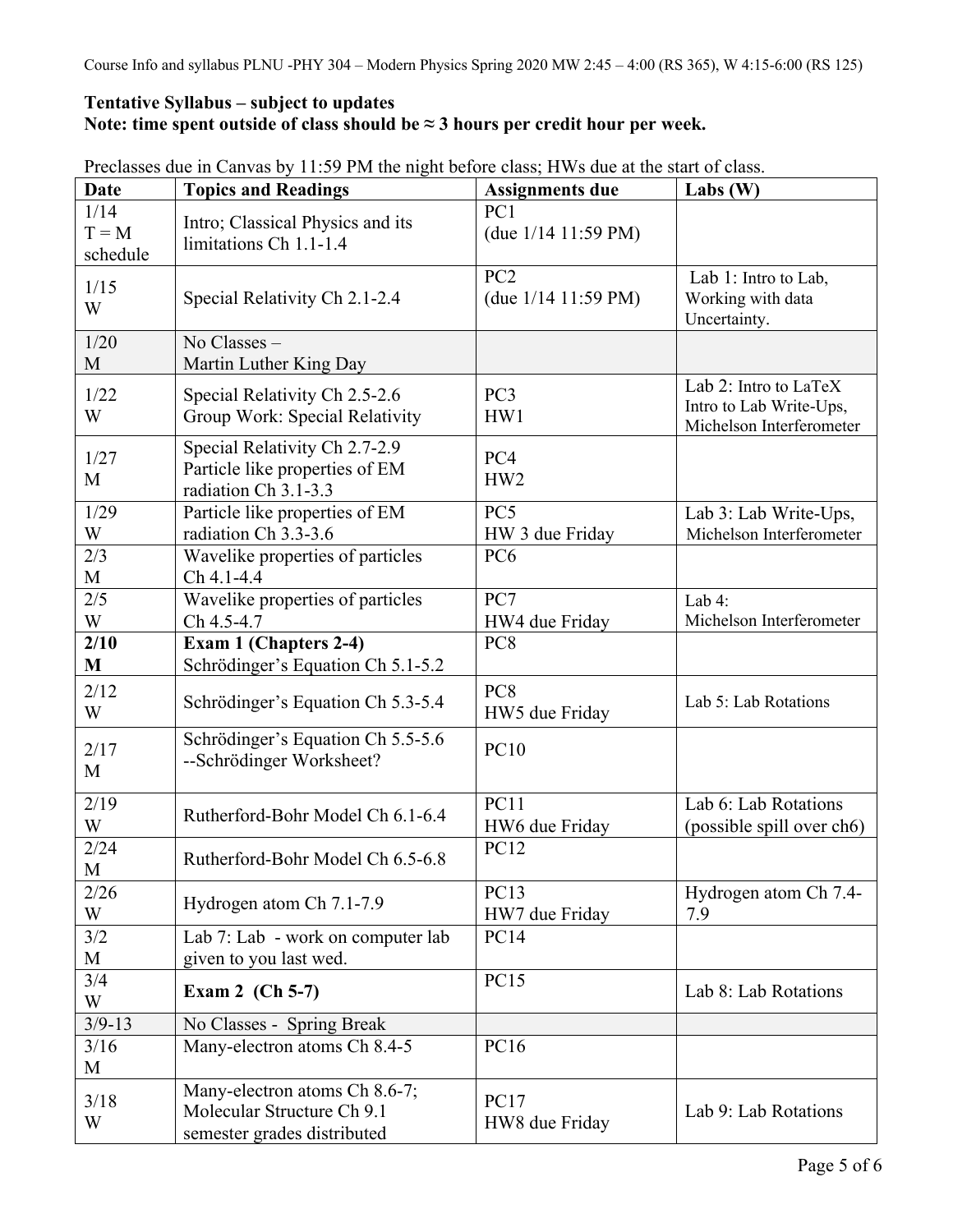# **Tentative Syllabus – subject to updates Note: time spent outside of class should be ≈ 3 hours per credit hour per week.**

| <b>Date</b>                 | <b>Topics and Readings</b>                                                                 | <b>Assignments due</b>                   | Labs $(W)$                                                                   |
|-----------------------------|--------------------------------------------------------------------------------------------|------------------------------------------|------------------------------------------------------------------------------|
| 1/14<br>$T = M$<br>schedule | Intro; Classical Physics and its<br>limitations Ch 1.1-1.4                                 | PC1<br>(due $1/14$ 11:59 PM)             |                                                                              |
| 1/15<br>W                   | Special Relativity Ch 2.1-2.4                                                              | PC <sub>2</sub><br>(due $1/14$ 11:59 PM) | Lab 1: Intro to Lab,<br>Working with data<br>Uncertainty.                    |
| 1/20<br>M                   | No Classes -<br>Martin Luther King Day                                                     |                                          |                                                                              |
| 1/22<br>W                   | Special Relativity Ch 2.5-2.6<br>Group Work: Special Relativity                            | PC <sub>3</sub><br>HW1                   | Lab 2: Intro to LaTeX<br>Intro to Lab Write-Ups,<br>Michelson Interferometer |
| 1/27<br>M                   | Special Relativity Ch 2.7-2.9<br>Particle like properties of EM<br>radiation Ch 3.1-3.3    | PC4<br>HW <sub>2</sub>                   |                                                                              |
| 1/29<br>W                   | Particle like properties of EM<br>radiation Ch 3.3-3.6                                     | PC5<br>HW 3 due Friday                   | Lab 3: Lab Write-Ups,<br>Michelson Interferometer                            |
| 2/3<br>$\mathbf{M}$         | Wavelike properties of particles<br>Ch 4.1-4.4                                             | PC <sub>6</sub>                          |                                                                              |
| 2/5<br>W                    | Wavelike properties of particles<br>Ch 4.5-4.7                                             | PC7<br>HW4 due Friday                    | Lab $4$ :<br>Michelson Interferometer                                        |
| 2/10<br>M                   | Exam 1 (Chapters 2-4)<br>Schrödinger's Equation Ch 5.1-5.2                                 | PC8                                      |                                                                              |
| 2/12<br>W                   | Schrödinger's Equation Ch 5.3-5.4                                                          | PC <sub>8</sub><br>HW5 due Friday        | Lab 5: Lab Rotations                                                         |
| 2/17<br>M                   | Schrödinger's Equation Ch 5.5-5.6<br>--Schrödinger Worksheet?                              | <b>PC10</b>                              |                                                                              |
| 2/19<br>W                   | Rutherford-Bohr Model Ch 6.1-6.4                                                           | PC11<br>HW6 due Friday                   | Lab 6: Lab Rotations<br>(possible spill over ch6)                            |
| 2/24<br>M                   | Rutherford-Bohr Model Ch 6.5-6.8                                                           | <b>PC12</b>                              |                                                                              |
| 2/26<br>W                   | Hydrogen atom Ch 7.1-7.9                                                                   | PC13<br>HW7 due Friday                   | Hydrogen atom Ch 7.4-<br>7.9                                                 |
| 3/2<br>M                    | Lab 7: Lab - work on computer lab<br>given to you last wed.                                | <b>PC14</b>                              |                                                                              |
| 3/4<br>W                    | Exam 2 $(Ch 5-7)$                                                                          | <b>PC15</b>                              | Lab 8: Lab Rotations                                                         |
| $3/9 - 13$                  | No Classes - Spring Break                                                                  |                                          |                                                                              |
| 3/16<br>M                   | Many-electron atoms Ch 8.4-5                                                               | <b>PC16</b>                              |                                                                              |
| 3/18<br>W                   | Many-electron atoms Ch 8.6-7;<br>Molecular Structure Ch 9.1<br>semester grades distributed | <b>PC17</b><br>HW8 due Friday            | Lab 9: Lab Rotations                                                         |

Preclasses due in Canvas by 11:59 PM the night before class; HWs due at the start of class.